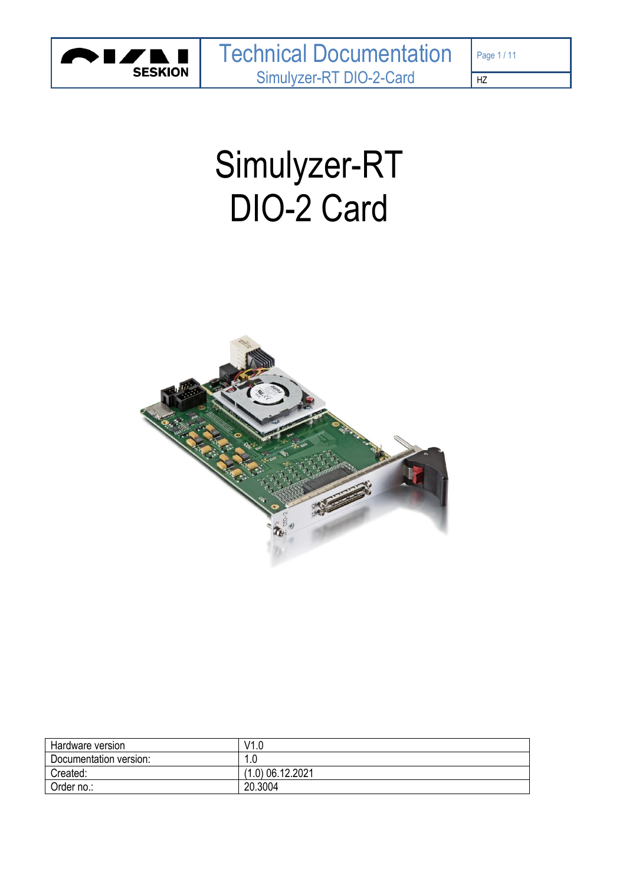

# Simulyzer-RT DIO-2 Card



| Hardware version       | V1.0               |
|------------------------|--------------------|
| Documentation version: | l.U                |
| Created:               | $(1.0)$ 06.12.2021 |
| Order no.:             | 20.3004            |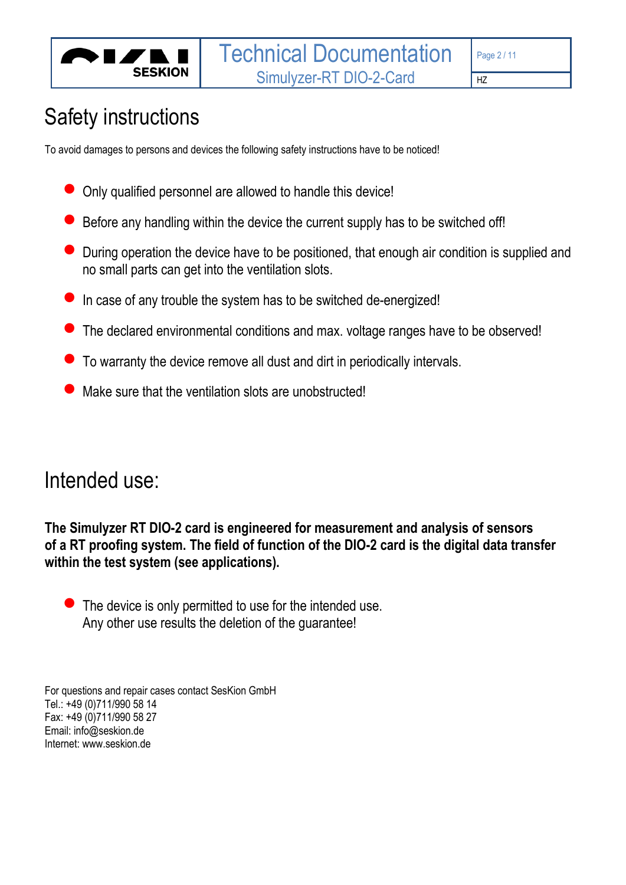

# Safety instructions

To avoid damages to persons and devices the following safety instructions have to be noticed!

- Only qualified personnel are allowed to handle this device!
- Before any handling within the device the current supply has to be switched off!
- During operation the device have to be positioned, that enough air condition is supplied and no small parts can get into the ventilation slots.
- In case of any trouble the system has to be switched de-energized!
- The declared environmental conditions and max. voltage ranges have to be observed!
- To warranty the device remove all dust and dirt in periodically intervals.
- Make sure that the ventilation slots are unobstructed!

# Intended use:

**The Simulyzer RT DIO-2 card is engineered for measurement and analysis of sensors of a RT proofing system. The field of function of the DIO-2 card is the digital data transfer within the test system (see applications).**

 $\bullet$  The device is only permitted to use for the intended use. Any other use results the deletion of the guarantee!

For questions and repair cases contact SesKion GmbH Tel.: +49 (0)711/990 58 14 Fax: +49 (0)711/990 58 27 Email: info@seskion.de Internet: www.seskion.de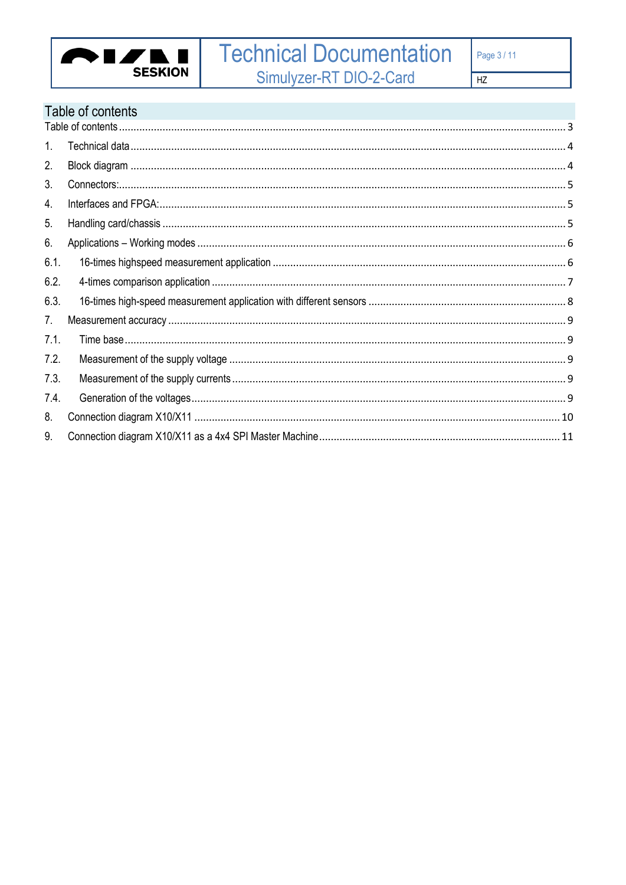

# <span id="page-2-0"></span>Table of contents

| 1 <sub>1</sub> |  |
|----------------|--|
| 2.             |  |
| 3.             |  |
| 4.             |  |
| 5.             |  |
| 6.             |  |
| 6.1.           |  |
| 6.2.           |  |
| 6.3.           |  |
| 7.             |  |
| 7.1.           |  |
| 7.2.           |  |
| 7.3.           |  |
| 7.4.           |  |
| 8.             |  |
| 9.             |  |
|                |  |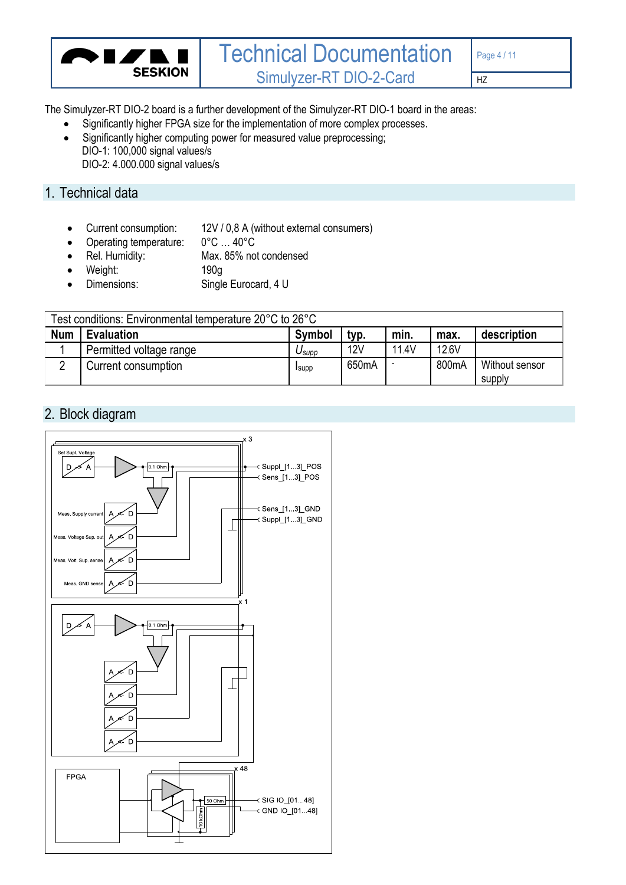

The Simulyzer-RT DIO-2 board is a further development of the Simulyzer-RT DIO-1 board in the areas:

- Significantly higher FPGA size for the implementation of more complex processes.
- Significantly higher computing power for measured value preprocessing; DIO-1: 100,000 signal values/s DIO-2: 4.000.000 signal values/s

# <span id="page-3-0"></span>1. Technical data

- Current consumption:  $12V / 0.8$  A (without external consumers)<br>• Operating temperature:  $0^{\circ}$ C ... 40°C
- Operating temperature:
- Rel. Humidity: Max. 85% not condensed
- Weight: 190g
- Dimensions: Single Eurocard, 4 U

| Test conditions: Environmental temperature 20°C to 26°C |                         |               |                    |       |       |                          |
|---------------------------------------------------------|-------------------------|---------------|--------------------|-------|-------|--------------------------|
| <b>Num</b>                                              | <b>Evaluation</b>       | <b>Symbol</b> | typ.               | min.  | max.  | description              |
|                                                         | Permitted voltage range | Jsupp         | 12V                | 11.4V | 12.6V |                          |
|                                                         | Current consumption     | <b>I</b> supp | 650 <sub>m</sub> A |       | 800mA | Without sensor<br>supply |

# <span id="page-3-1"></span>2. Block diagram

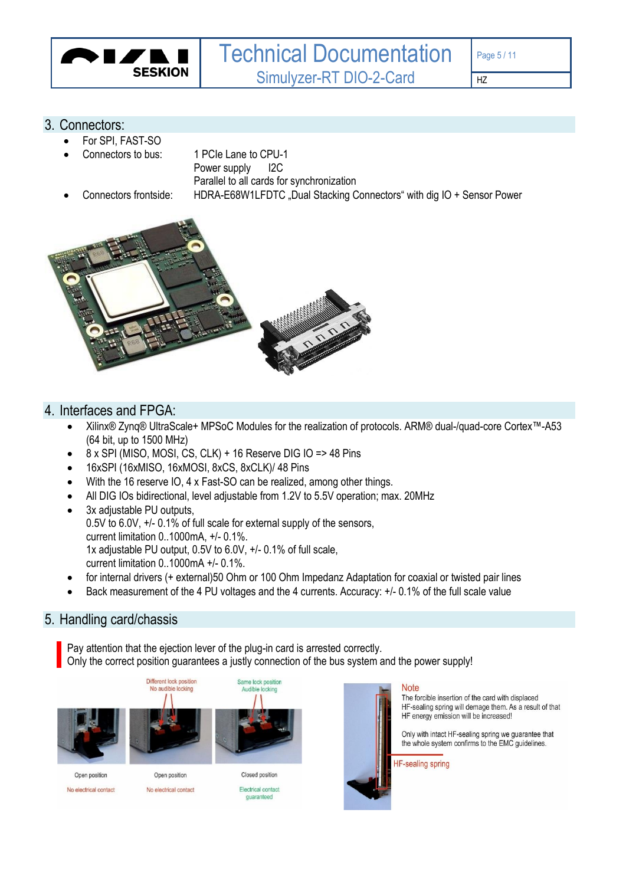

#### <span id="page-4-0"></span>3. Connectors:

- For SPI, FAST-SO
- Connectors to bus: 1 PCIe Lane to CPU-1
	- Power supply 12C
	-
- 

Parallel to all cards for synchronization • Connectors frontside: HDRA-E68W1LFDTC "Dual Stacking Connectors" with dig IO + Sensor Power



### <span id="page-4-1"></span>4. Interfaces and FPGA:

- Xilinx® Zynq® UltraScale+ MPSoC Modules for the realization of protocols. ARM® dual-/quad-core Cortex™-A53 (64 bit, up to 1500 MHz)
- 8 x SPI (MISO, MOSI, CS, CLK) + 16 Reserve DIG IO => 48 Pins
- 16xSPI (16xMISO, 16xMOSI, 8xCS, 8xCLK)/ 48 Pins
- With the 16 reserve IO, 4 x Fast-SO can be realized, among other things.
- All DIG IOs bidirectional, level adjustable from 1.2V to 5.5V operation; max. 20MHz
- 3x adjustable PU outputs. 0.5V to 6.0V, +/- 0.1% of full scale for external supply of the sensors, current limitation 0..1000mA, +/- 0.1%. 1x adjustable PU output, 0.5V to 6.0V, +/- 0.1% of full scale, current limitation 0..1000mA +/- 0.1%.
- for internal drivers (+ external)50 Ohm or 100 Ohm Impedanz Adaptation for coaxial or twisted pair lines
- Back measurement of the 4 PU voltages and the 4 currents. Accuracy: +/- 0.1% of the full scale value

## <span id="page-4-2"></span>5. Handling card/chassis

Pay attention that the ejection lever of the plug-in card is arrested correctly. Only the correct position guarantees a justly connection of the bus system and the power supply!





#### **Note**

The forcible insertion of the card with displaced HF-sealing spring will demage them. As a result of that HF energy emission will be increased!

Only with intact HF-sealing spring we guarantee that the whole system confirms to the EMC guidelines.

**HF-sealing spring** 

Open position No electrical contact Open position

**Electrical contact** quaranteed

No electrical contact

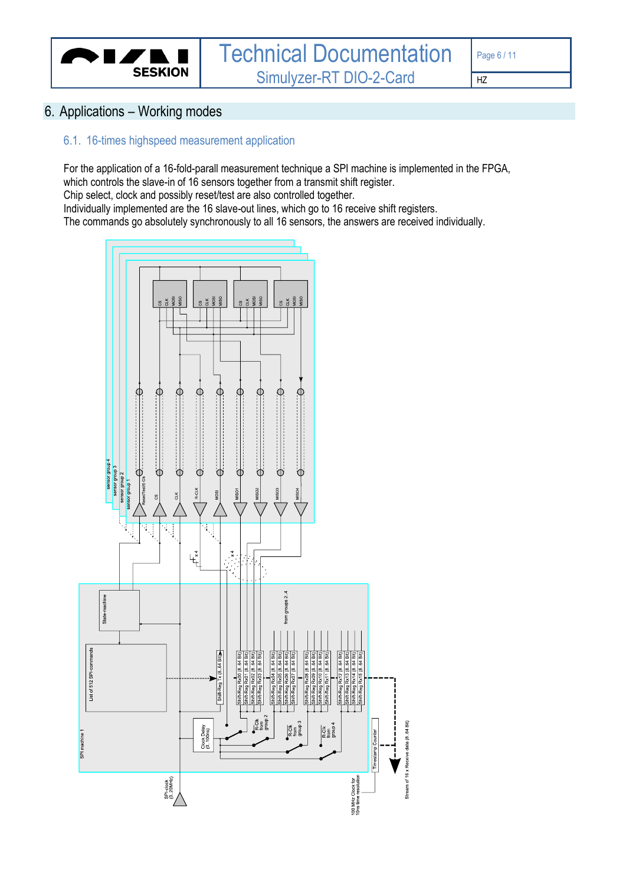

# <span id="page-5-0"></span>6. Applications – Working modes

#### <span id="page-5-1"></span>6.1. 16-times highspeed measurement application

For the application of a 16-fold-parall measurement technique a SPI machine is implemented in the FPGA, which controls the slave-in of 16 sensors together from a transmit shift register. Chip select, clock and possibly reset/test are also controlled together. Individually implemented are the 16 slave-out lines, which go to 16 receive shift registers. The commands go absolutely synchronously to all 16 sensors, the answers are received individually.

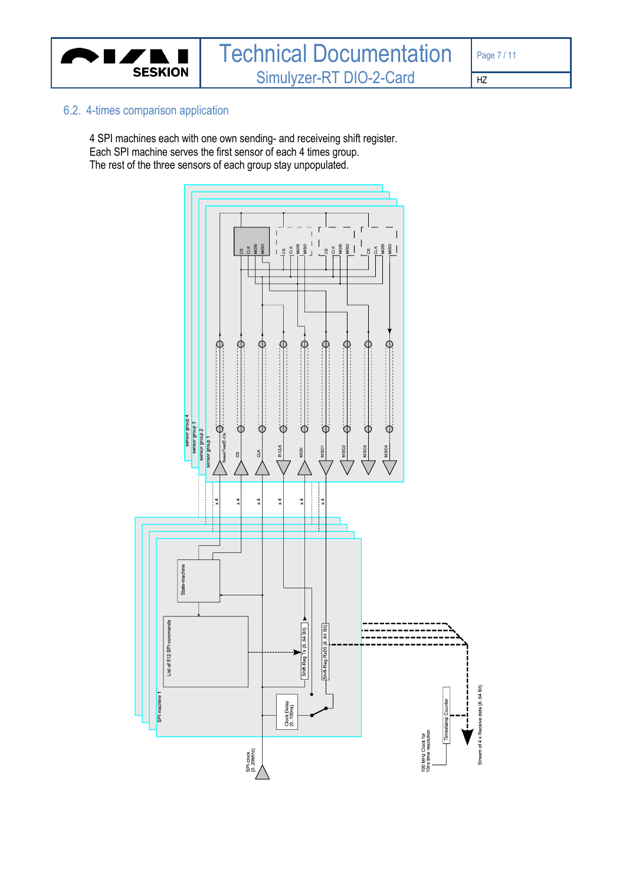

#### <span id="page-6-0"></span>6.2. 4-times comparison application

4 SPI machines each with one own sending- and receiveing shift register. Each SPI machine serves the first sensor of each 4 times group. The rest of the three sensors of each group stay unpopulated.

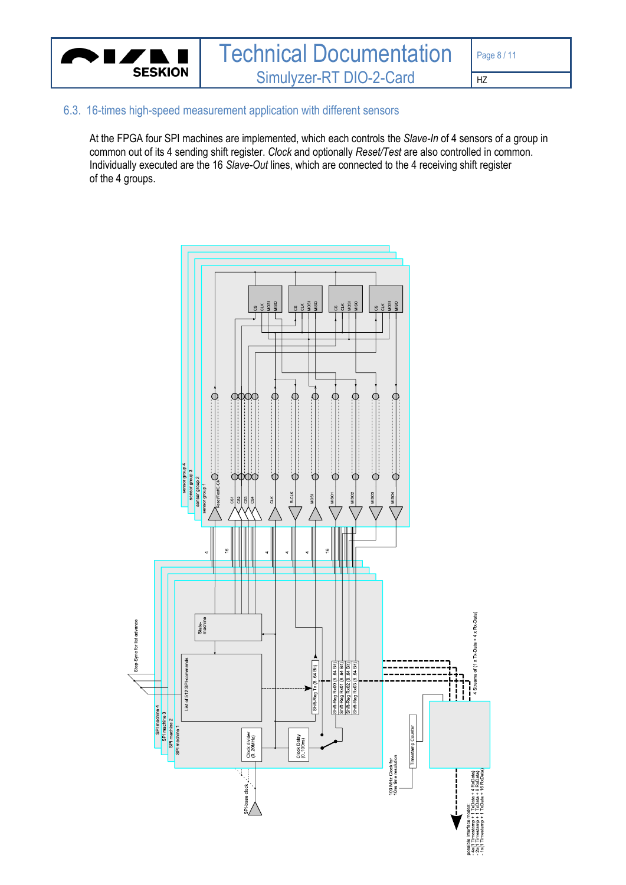

#### <span id="page-7-0"></span>6.3. 16-times high-speed measurement application with different sensors

At the FPGA four SPI machines are implemented, which each controls the *Slave-In* of 4 sensors of a group in common out of its 4 sending shift register. *Clock* and optionally *Reset/Test* are also controlled in common. Individually executed are the 16 *Slave-Out* lines, which are connected to the 4 receiving shift register of the 4 groups.

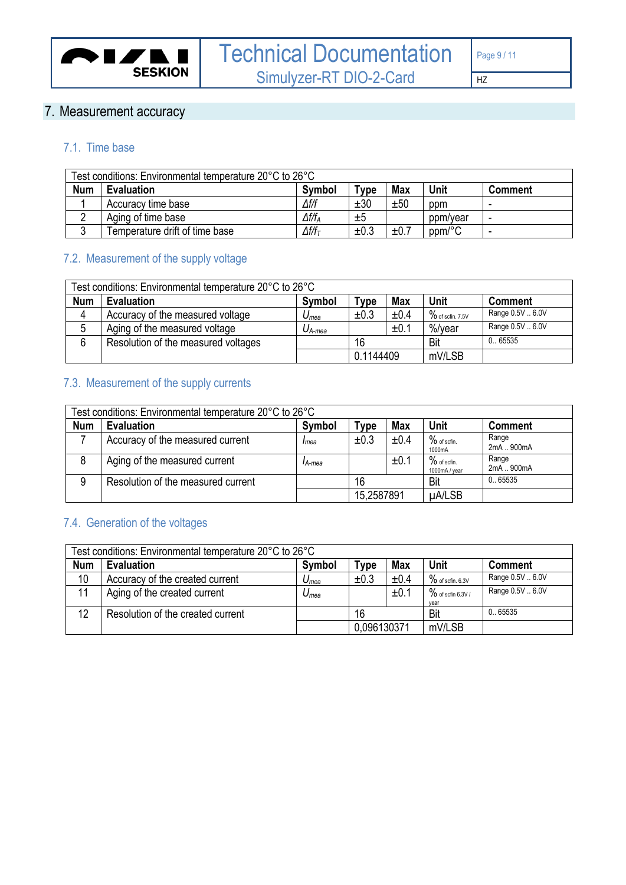

# <span id="page-8-0"></span>7. Measurement accuracy

### <span id="page-8-1"></span>7.1. Time base

| Test conditions: Environmental temperature 20°C to 26°C |                                |                   |      |            |          |                |
|---------------------------------------------------------|--------------------------------|-------------------|------|------------|----------|----------------|
| <b>Num</b>                                              | <b>Evaluation</b>              | <b>Symbol</b>     | Tvpe | <b>Max</b> | Unit     | <b>Comment</b> |
|                                                         | Accuracy time base             | ∆f/f              | ±30  | ±50        | ppm      |                |
| ◠<br>▵                                                  | Aging of time base             | $\Delta f/f_A$    | ±5   |            | ppm/year | -              |
| ົ<br>J                                                  | Temperature drift of time base | $\Delta f/f_\tau$ | ±0.3 | ±0.7       | ppm/°C   |                |

# <span id="page-8-2"></span>7.2. Measurement of the supply voltage

| Test conditions: Environmental temperature 20°C to 26°C |                                     |                    |           |            |                     |                  |
|---------------------------------------------------------|-------------------------------------|--------------------|-----------|------------|---------------------|------------------|
| <b>Num</b>                                              | Evaluation                          | Symbol             | Type      | <b>Max</b> | Unit                | <b>Comment</b>   |
| 4                                                       | Accuracy of the measured voltage    | $U_{mea}$          | ±0.3      | ±0.4       | $\%$ of scfin. 7.5V | Range 0.5V  6.0V |
| 5                                                       | Aging of the measured voltage       | $U_{A\text{-}mea}$ |           | ±0.1       | %/vear              | Range 0.5V  6.0V |
| 6                                                       | Resolution of the measured voltages |                    | 16        |            | Bit                 | 0.65535          |
|                                                         |                                     |                    | 0.1144409 |            | mV/LSB              |                  |

# <span id="page-8-3"></span>7.3. Measurement of the supply currents

| Test conditions: Environmental temperature 20°C to 26°C |                                    |               |            |            |                                |                     |
|---------------------------------------------------------|------------------------------------|---------------|------------|------------|--------------------------------|---------------------|
| <b>Num</b>                                              | <b>Evaluation</b>                  | <b>Symbol</b> | $T$ ype    | <b>Max</b> | Unit                           | <b>Comment</b>      |
|                                                         | Accuracy of the measured current   | Imea          | ±0.3       | ±0.4       | $%$ of scfin.<br>1000mA        | Range<br>2mA  900mA |
|                                                         | Aging of the measured current      | IA-mea        |            | ±0.1       | $%$ of scfin.<br>1000mA / year | Range<br>2mA  900mA |
| 9                                                       | Resolution of the measured current |               | 16         |            | Bit                            | 0.65535             |
|                                                         |                                    |               | 15,2587891 |            | µA/LSB                         |                     |

# <span id="page-8-4"></span>7.4. Generation of the voltages

|            | Test conditions: Environmental temperature 20°C to 26°C |           |             |            |                              |                  |
|------------|---------------------------------------------------------|-----------|-------------|------------|------------------------------|------------------|
| <b>Num</b> | <b>Evaluation</b>                                       | Symbol    | <b>Type</b> | <b>Max</b> | <b>Unit</b>                  | <b>Comment</b>   |
| 10         | Accuracy of the created current                         | $U_{mea}$ | ±0.3        | ±0.4       | $\%$ of scfin. 6.3V          | Range 0.5V  6.0V |
| 11         | Aging of the created current                            | $U_{mea}$ |             | ±0.1       | $\%$ of scfin 6.3V /<br>vear | Range 0.5V  6.0V |
| 12         | Resolution of the created current                       |           | 16          |            | Bit                          | 0.65535          |
|            |                                                         |           | 0.096130371 |            | mV/LSB                       |                  |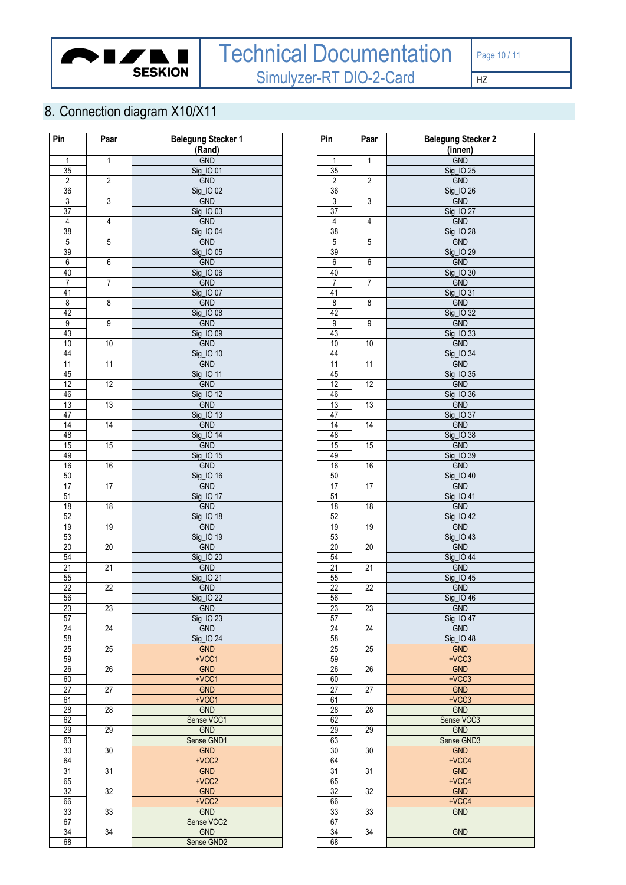

<span id="page-9-0"></span>8. Connection diagram X10/X11

| Pin                  | Paar               | <b>Belegung Stecker 1</b> |    | Pin              | Paar            | <b>Belegung Stecl</b>   |
|----------------------|--------------------|---------------------------|----|------------------|-----------------|-------------------------|
|                      |                    | (Rand)                    |    |                  |                 | (innen)                 |
| $\mathbf{1}$         | $\mathbf{1}$       | <b>GND</b>                |    | $\mathbf{1}$     | $\mathbf{1}$    | <b>GND</b>              |
| 35                   |                    | Sig_IO 01                 |    | 35               |                 | Sig_IO 25               |
| $\sqrt{2}$           | $\overline{2}$     | <b>GND</b>                |    | $\overline{2}$   | $\overline{2}$  | <b>GND</b>              |
| 36                   |                    | Sig_IO 02                 |    | 36               |                 | Sig_IO 26               |
| $\overline{3}$       | 3                  | <b>GND</b>                |    | $\overline{3}$   | $\overline{3}$  | <b>GND</b>              |
|                      |                    | Sig_IO 03                 |    |                  |                 |                         |
| 37<br>$\sqrt{4}$     | 4                  | <b>GND</b>                |    | 37<br>$\sqrt{4}$ | $\sqrt{4}$      | Sig_IO 27<br>GND        |
|                      |                    |                           |    |                  | $\overline{5}$  |                         |
| $\overline{38}$      |                    | Sig_IO 04                 |    | 38               |                 | Sig_IO 28               |
| $\overline{5}$<br>39 | 5                  | <b>GND</b><br>Sig_IO 05   |    | $\overline{5}$   |                 | GND<br>Sig_IO 29        |
|                      |                    |                           |    | 39               |                 |                         |
| 6<br>40              | 6                  | <b>GND</b><br>Sig_IO 06   |    | 6<br>40          | 6               | GND                     |
|                      | $\overline{7}$     |                           |    |                  | $\overline{7}$  | Sig_IO 30               |
| $\overline{7}$       |                    | <b>GND</b>                |    | $\overline{7}$   |                 | GND                     |
| 41                   |                    | Sig_IO 07                 |    | $\overline{41}$  |                 | Sig_IO 31               |
| 8                    | $\overline{\bf 8}$ | <b>GND</b>                |    | $\overline{8}$   | $\overline{8}$  | GND                     |
| 42<br>$\overline{9}$ | 9                  | Sig_IO 08<br><b>GND</b>   |    | 42<br>9          | $\overline{9}$  | Sig_IO 32<br><b>GND</b> |
|                      |                    |                           |    |                  |                 |                         |
| 43                   |                    | Sig_IO 09                 |    | 43               |                 | Sig_IO 33               |
| 10                   | $10$               | <b>GND</b>                |    | $10$             | 10              | GND                     |
| 44                   |                    | Sig_IO 10                 |    | 44               |                 | Sig_IO 34               |
| $\overline{11}$      | 11                 | <b>GND</b>                |    | 11               | 11              | GND                     |
| 45                   |                    | Sig_IO 11                 |    | 45               |                 | Sig_IO 35               |
| 12                   | 12                 | <b>GND</b>                |    | 12               | 12              | <b>GND</b>              |
| 46<br>13             |                    | Sig_IO 12                 |    | 46<br>13         | 13              | Sig_IO 36               |
|                      | 13                 | <b>GND</b>                |    |                  |                 | <b>GND</b>              |
| 47                   |                    | Sig_IO 13                 |    | 47               | 14              | Sig_IO 37               |
| 14<br>48             | 14                 | <b>GND</b><br>Sig_IO 14   |    | 14<br>48         |                 | <b>GND</b>              |
|                      | 15                 |                           |    |                  |                 | Sig_IO 38<br><b>GND</b> |
| 15<br>49             |                    | <b>GND</b><br>Sig_IO 15   |    | 15<br>49         | 15              |                         |
|                      |                    |                           |    |                  |                 | Sig_IO 39               |
| 16                   | 16                 | <b>GND</b>                |    | 16               | 16              | <b>GND</b>              |
| 50<br>17             | 17                 | Sig_IO 16<br><b>GND</b>   |    | 50<br>17         | 17              | $Sig_1$ 0 40<br>GND     |
| 51                   |                    | Sig_IO 17                 |    | 51               |                 | Sig_IO 41               |
| 18                   | 18                 | <b>GND</b>                |    | 18               | 18              | <b>GND</b>              |
| 52                   |                    | Sig_IO 18                 | 52 |                  |                 | Sig_IO 42               |
| 19                   | 19                 | <b>GND</b>                |    | 19               | 19              | GND                     |
| 53                   |                    | Sig_IO 19                 |    | 53               |                 | Sig_IO 43               |
| $\overline{20}$      | 20                 | <b>GND</b>                |    | 20               | 20              | GND                     |
| 54                   |                    | Sig_IO 20                 |    | 54               |                 | Sig_IO 44               |
| 21                   | 21                 | <b>GND</b>                |    | 21               | 21              | <b>GND</b>              |
| 55                   |                    | Sig_IO 21                 |    | 55               |                 | Sig_IO 45               |
| $\overline{22}$      | 22                 | <b>GND</b>                |    | $\overline{22}$  | $\overline{22}$ | GND                     |
| 56                   |                    | Sia 10 22                 |    | 56               |                 | Sig 1046                |
| 23                   | 23                 | GND                       |    | 23               | 23              | <b>GND</b>              |
| 57                   |                    | Sig_IO 23                 |    | 57               |                 | Sig_IO 47               |
| 24                   | 24                 | <b>GND</b>                |    | 24               | 24              | <b>GND</b>              |
| 58                   |                    | Sig_IO 24                 |    | 58               |                 | Sig_IO 48               |
| 25                   | 25                 | <b>GND</b>                |    | $\overline{25}$  | 25              | <b>GND</b>              |
| 59                   |                    | $+VCC1$                   |    | 59               |                 | $+VCC3$                 |
| 26                   | 26                 | <b>GND</b>                |    | 26               | 26              | <b>GND</b>              |
| 60                   |                    | $+VCC1$                   |    | 60               |                 | $+VCC3$                 |
| $\overline{27}$      | $\overline{27}$    | <b>GND</b>                |    | $\overline{27}$  | 27              | <b>GND</b>              |
| 61                   |                    | $+VCC1$                   |    | 61               |                 | $+VCC3$                 |
| 28                   | 28                 | <b>GND</b>                |    | 28               | 28              | <b>GND</b>              |
| 62                   |                    | Sense VCC1                |    | 62               |                 | Sense VCC3              |
| 29                   | 29                 | <b>GND</b>                |    | 29               | 29              | <b>GND</b>              |
| 63                   |                    | Sense GND1                |    | 63               |                 | Sense GND3              |
| 30                   | 30                 | <b>GND</b>                |    | 30               | 30              | <b>GND</b>              |
| 64                   |                    | $+VCC2$                   |    | 64               |                 | $+VCC4$                 |
| 31                   | 31                 | <b>GND</b>                |    | 31               | 31              | <b>GND</b>              |
| 65                   |                    | $+VCC2$                   |    | 65               |                 | $+VCC4$                 |
| 32                   | 32                 | <b>GND</b>                |    | 32               | 32              | GND                     |
| 66                   |                    | $+VCC2$                   |    | 66               |                 | $+VCC4$                 |
| 33                   | 33                 | <b>GND</b>                |    | 33               | 33              | <b>GND</b>              |
| 67                   |                    | Sense VCC2                |    | 67               |                 |                         |
| 34                   | 34                 | <b>GND</b>                |    | 34               | 34              | <b>GND</b>              |
| 68                   |                    | Sense GND2                |    | 68               |                 |                         |

| Pin                  | Paar            | <b>Belegung Stecker 2</b> |
|----------------------|-----------------|---------------------------|
|                      |                 | (innen)                   |
| 1                    | 1               | <b>GND</b>                |
| 35                   | 2               | Sig_IO 25                 |
| $\overline{2}$<br>36 |                 | GND<br>Sig_IO 26          |
| 3                    | 3               | <b>GND</b>                |
| $\overline{37}$      |                 | Sig_IO 27                 |
| $\sqrt{4}$           | $\overline{4}$  | GND                       |
| 38                   |                 | Sig_IO 28                 |
| 5                    | 5               | GND                       |
| 39                   |                 | Sig_IO 29                 |
| 6                    | 6               | <b>GND</b>                |
| 40                   |                 | Sig_IO 30                 |
| 7                    | 7               | <b>GND</b><br>Sig_IO 31   |
| 41<br>8              | 8               | <b>GND</b>                |
| 42                   |                 | Sig_IO 32                 |
| $\overline{9}$       | 9               | <b>GND</b>                |
| 43                   |                 | Sig_IO 33                 |
| 10                   | 10              | <b>GND</b>                |
| 44                   |                 | Sig_IO 34                 |
| 11                   | 11              | GND                       |
| 45                   |                 | Sig_IO 35                 |
| $\overline{12}$      | 12              | GND                       |
| 46                   | 13              | Sig_IO 36                 |
| 13<br>47             |                 | GND<br>Sig_IO 37          |
| 14                   | 14              | <b>GND</b>                |
| 48                   |                 | Sig_IO 38                 |
| 15                   | $\overline{15}$ | <b>GND</b>                |
| 49                   |                 | Sig_IO 39                 |
| 16                   | 16              | <b>GND</b>                |
| 50                   |                 | Sig_IO 40                 |
| 17                   | 17              | <b>GND</b>                |
| 51                   |                 | Sig_IO 41                 |
| 18<br>52             | 18              | GND<br>Sig_IO 42          |
| 19                   | 19              | <b>GND</b>                |
| 53                   |                 | Sig_IO 43                 |
| 20                   | 20              | <b>GND</b>                |
| 54                   |                 | Sig_IO 44                 |
| 21                   | $\overline{21}$ | GND                       |
| 55                   |                 | Sig_IO 45                 |
| $\overline{22}$      | 22              | <b>GND</b>                |
| 56                   |                 | Sig_IO 46                 |
| 23                   | 23              | <b>GND</b>                |
| 57<br>24             | 24              | Sig_IO 47<br><b>GND</b>   |
| 58                   |                 | Sig_IO 48                 |
| 25                   | 25              | <b>GND</b>                |
| 59                   |                 | $+VCC3$                   |
| 26                   | 26              | <b>GND</b>                |
| 60                   |                 | $+VCC3$                   |
| 27                   | 27              | <b>GND</b>                |
| 61                   |                 | $+VCC3$                   |
| 28                   | 28              | <b>GND</b>                |
| 62                   | 29              | Sense VCC3<br><b>GND</b>  |
| 29<br>63             |                 | Sense GND3                |
| 30                   | $\overline{30}$ | <b>GND</b>                |
| 64                   |                 | $+VCC4$                   |
| 31                   | 31              | <b>GND</b>                |
| 65                   |                 | +VCC4                     |
| 32                   | 32              | <b>GND</b>                |
| 66                   |                 | $+VCC4$                   |
| 33                   | 33              | <b>GND</b>                |
| 67                   |                 |                           |
| 34                   | 34              | <b>GND</b>                |
| 6R                   |                 |                           |